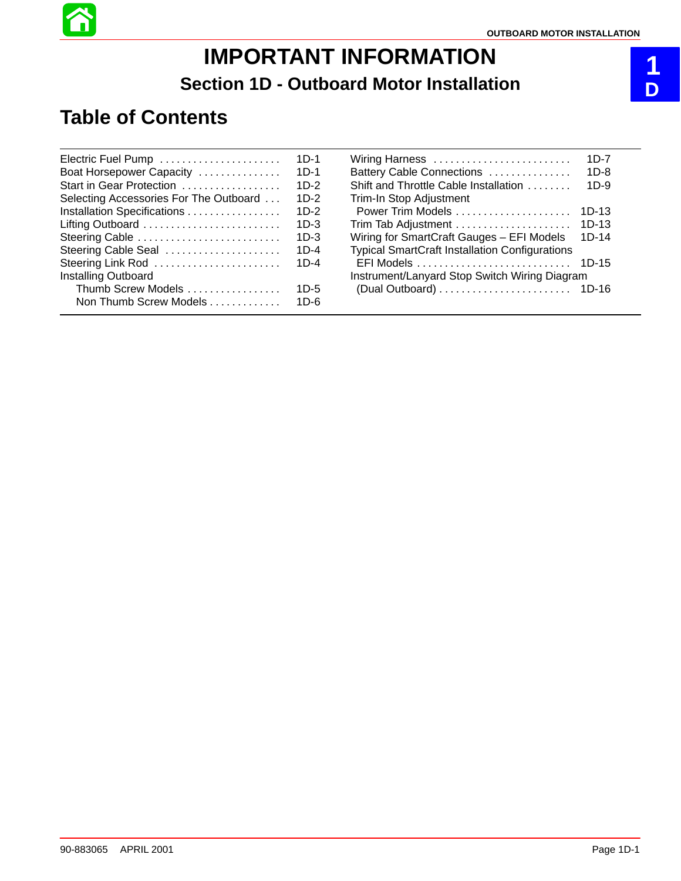# **IMPORTANT INFORMATION Section 1D - Outboard Motor Installation**

## **Table of Contents**

| Electric Fuel Pump                     | $1D-1$ |
|----------------------------------------|--------|
| Boat Horsepower Capacity               | $1D-1$ |
| Start in Gear Protection               | $1D-2$ |
| Selecting Accessories For The Outboard | 1D-2   |
| Installation Specifications            | $1D-2$ |
| Lifting Outboard                       | 1D-3   |
| Steering Cable                         | 1D-3   |
| Steering Cable Seal                    | 1D-4   |
| Steering Link Rod                      | $1D-4$ |
| Installing Outboard                    |        |
| Thumb Screw Models                     | 1D-5   |
| Non Thumb Screw Models                 | 1D-6   |
|                                        |        |

| Wiring Harness                                        | 1D-7    |  |
|-------------------------------------------------------|---------|--|
| Battery Cable Connections                             | $1D-8$  |  |
| Shift and Throttle Cable Installation                 | $1D-9$  |  |
| Trim-In Stop Adjustment                               |         |  |
|                                                       | 1D-13   |  |
| Trim Tab Adjustment                                   | $1D-13$ |  |
| Wiring for SmartCraft Gauges - EFI Models             | $1D-14$ |  |
| <b>Typical SmartCraft Installation Configurations</b> |         |  |
|                                                       | $1D-15$ |  |
| Instrument/Lanyard Stop Switch Wiring Diagram         |         |  |
|                                                       | $1D-16$ |  |
|                                                       |         |  |

## **1 D**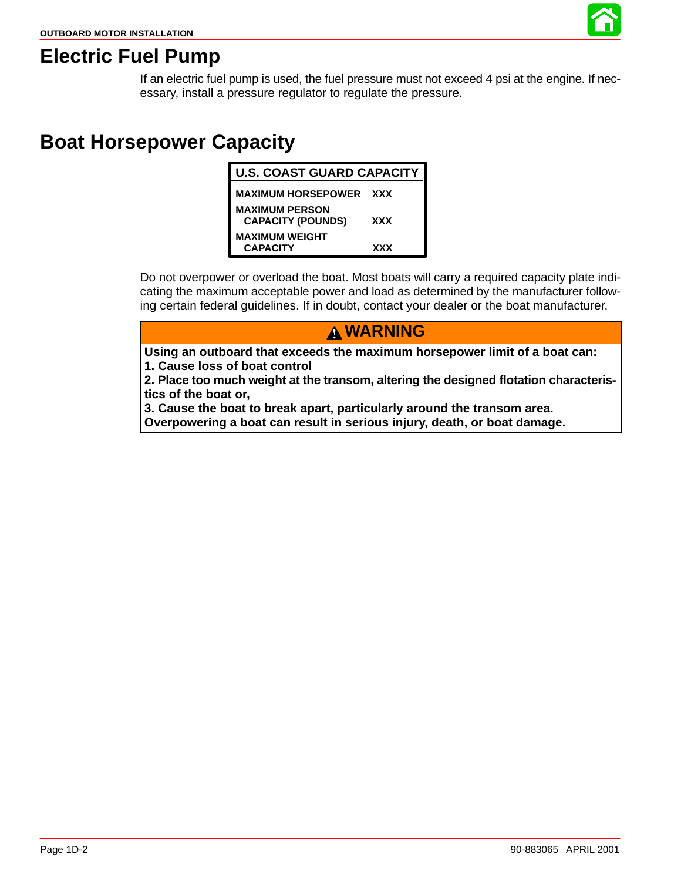

### **Electric Fuel Pump**

If an electric fuel pump is used, the fuel pressure must not exceed 4 psi at the engine. If necessary, install a pressure regulator to regulate the pressure.

## **Boat Horsepower Capacity**

| <b>U.S. COAST GUARD CAPACITY</b>                  |     |  |
|---------------------------------------------------|-----|--|
| <b>MAXIMUM HORSEPOWER XXX</b>                     |     |  |
| <b>MAXIMUM PERSON</b><br><b>CAPACITY (POUNDS)</b> | XXX |  |
| <b>MAXIMUM WEIGHT</b><br><b>CAPACITY</b>          | XXX |  |

Do not overpower or overload the boat. Most boats will carry a required capacity plate indicating the maximum acceptable power and load as determined by the manufacturer following certain federal guidelines. If in doubt, contact your dealer or the boat manufacturer.

**WARNING**

**Using an outboard that exceeds the maximum horsepower limit of a boat can: 1. Cause loss of boat control**

**2. Place too much weight at the transom, altering the designed flotation characteristics of the boat or,**

**3. Cause the boat to break apart, particularly around the transom area.**

**Overpowering a boat can result in serious injury, death, or boat damage.**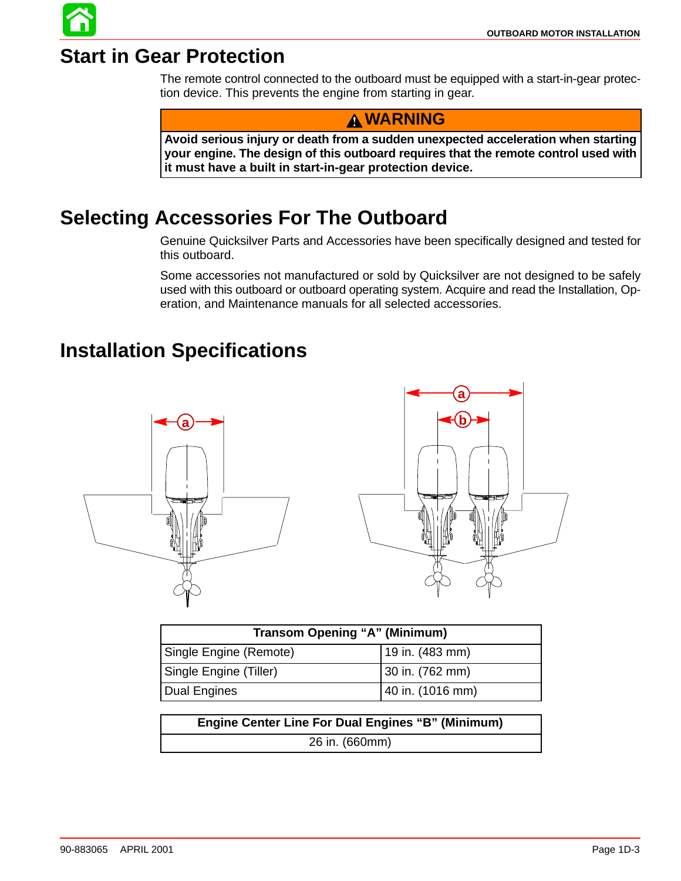## **Start in Gear Protection**

The remote control connected to the outboard must be equipped with a start-in-gear protection device. This prevents the engine from starting in gear.

### **WARNING**

**Avoid serious injury or death from a sudden unexpected acceleration when starting your engine. The design of this outboard requires that the remote control used with it must have a built in start-in-gear protection device.**

## **Selecting Accessories For The Outboard**

Genuine Quicksilver Parts and Accessories have been specifically designed and tested for this outboard.

Some accessories not manufactured or sold by Quicksilver are not designed to be safely used with this outboard or outboard operating system. Acquire and read the Installation, Operation, and Maintenance manuals for all selected accessories.

## **Installation Specifications**



| <b>Transom Opening "A" (Minimum)</b> |                  |  |
|--------------------------------------|------------------|--|
| Single Engine (Remote)               | 19 in. (483 mm)  |  |
| Single Engine (Tiller)               | 30 in. (762 mm)  |  |
| Dual Engines                         | 40 in. (1016 mm) |  |

**Engine Center Line For Dual Engines "B" (Minimum)** 26 in. (660mm)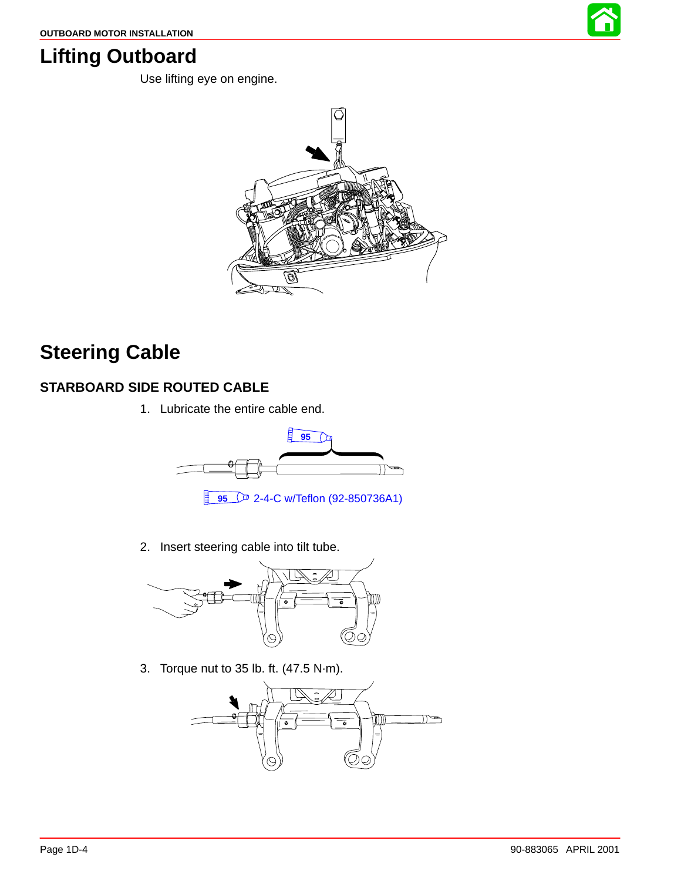

## <span id="page-3-0"></span>**Lifting Outboard**

Use lifting eye on engine.



## **Steering Cable**

#### **STARBOARD SIDE ROUTED CABLE**

1. Lubricate the entire cable end.



- **95** 2-4-C w/Teflon (92-850736A1)
- 2. Insert steering cable into tilt tube.



3. Torque nut to 35 lb. ft. (47.5 N·m).

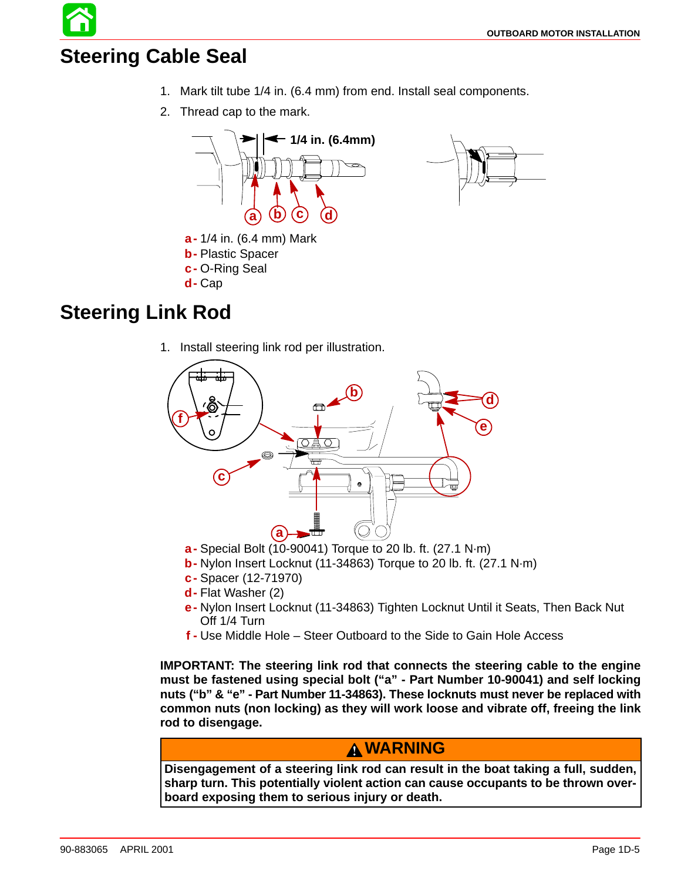## **Steering Cable Seal**

- 1. Mark tilt tube 1/4 in. (6.4 mm) from end. Install seal components.
- 2. Thread cap to the mark.





## **Steering Link Rod**

1. Install steering link rod per illustration.



- **a-** Special Bolt (10-90041) Torque to 20 lb. ft. (27.1 N·m)
- **b-** Nylon Insert Locknut (11-34863) Torque to 20 lb. ft. (27.1 N·m)
- **c-** Spacer (12-71970)
- **d-** Flat Washer (2)
- **e-** Nylon Insert Locknut (11-34863) Tighten Locknut Until it Seats, Then Back Nut Off 1/4 Turn
- **f -** Use Middle Hole Steer Outboard to the Side to Gain Hole Access

**IMPORTANT: The steering link rod that connects the steering cable to the engine must be fastened using special bolt ("a" - Part Number 10-90041) and self locking nuts ("b" & "e" - Part Number 11-34863). These locknuts must never be replaced with common nuts (non locking) as they will work loose and vibrate off, freeing the link rod to disengage.**

#### **WARNING**

**Disengagement of a steering link rod can result in the boat taking a full, sudden, sharp turn. This potentially violent action can cause occupants to be thrown overboard exposing them to serious injury or death.**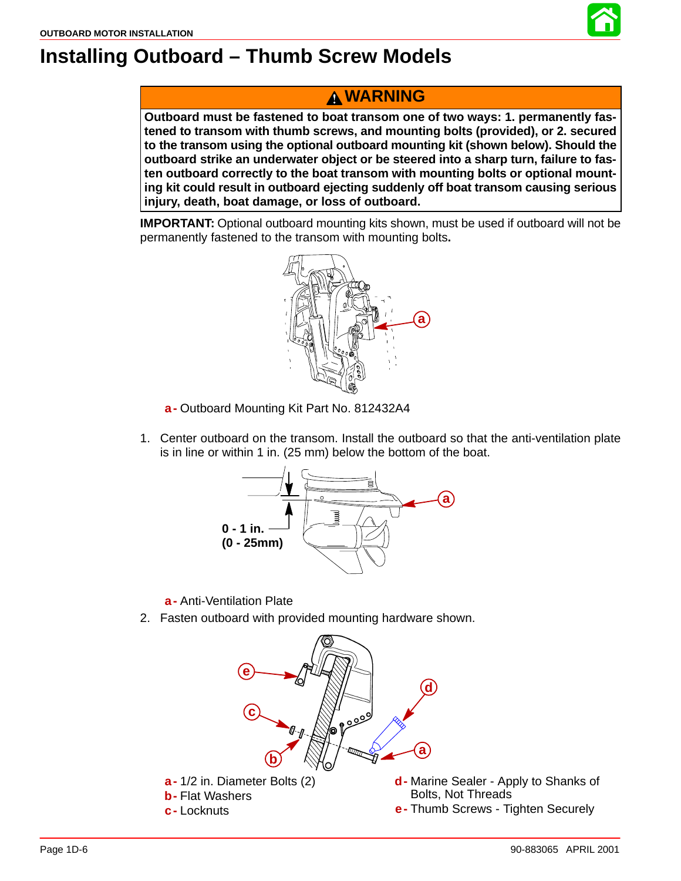

### **WARNING**

**Outboard must be fastened to boat transom one of two ways: 1. permanently fastened to transom with thumb screws, and mounting bolts (provided), or 2. secured to the transom using the optional outboard mounting kit (shown below). Should the outboard strike an underwater object or be steered into a sharp turn, failure to fasten outboard correctly to the boat transom with mounting bolts or optional mounting kit could result in outboard ejecting suddenly off boat transom causing serious injury, death, boat damage, or loss of outboard.**

**IMPORTANT:** Optional outboard mounting kits shown, must be used if outboard will not be permanently fastened to the transom with mounting bolts**.**



**a-** Outboard Mounting Kit Part No. 812432A4

1. Center outboard on the transom. Install the outboard so that the anti-ventilation plate is in line or within 1 in. (25 mm) below the bottom of the boat.



**a-** Anti-Ventilation Plate

2. Fasten outboard with provided mounting hardware shown.

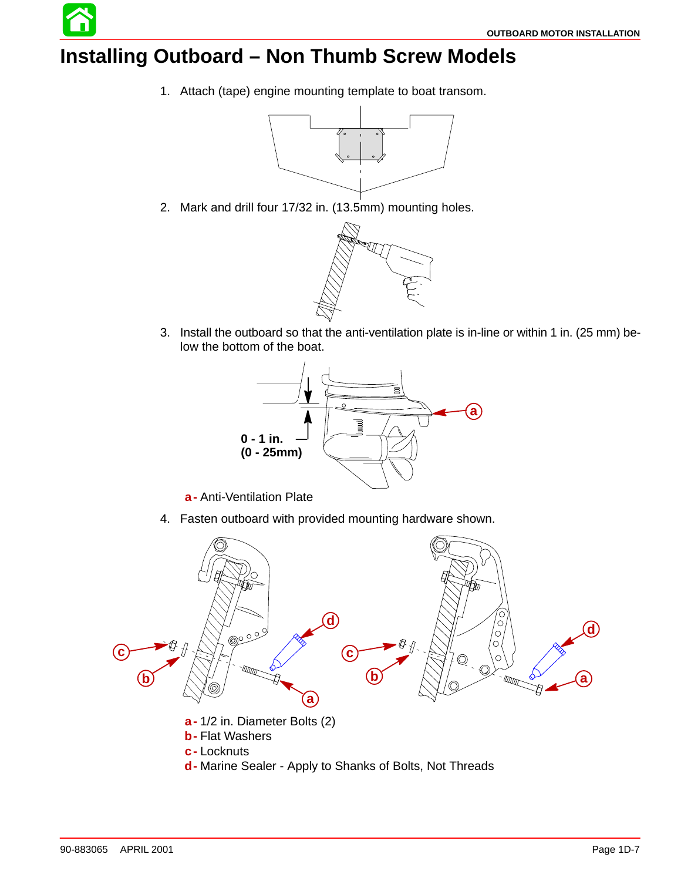## **Installing Outboard – Non Thumb Screw Models**

1. Attach (tape) engine mounting template to boat transom.



2. Mark and drill four 17/32 in. (13.5mm) mounting holes.



3. Install the outboard so that the anti-ventilation plate is in-line or within 1 in. (25 mm) below the bottom of the boat.



**a-** Anti-Ventilation Plate

4. Fasten outboard with provided mounting hardware shown.

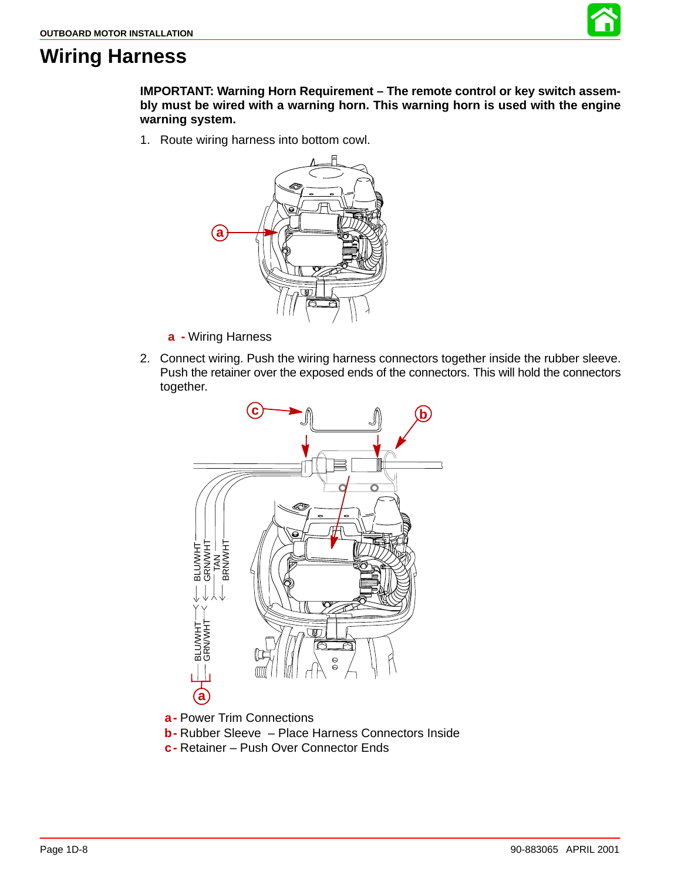

### **Wiring Harness**

**IMPORTANT: Warning Horn Requirement – The remote control or key switch assembly must be wired with a warning horn. This warning horn is used with the engine warning system.**

1. Route wiring harness into bottom cowl.



- **a -** Wiring Harness
- 2. Connect wiring. Push the wiring harness connectors together inside the rubber sleeve. Push the retainer over the exposed ends of the connectors. This will hold the connectors together.



**a-** Power Trim Connections

- **b-** Rubber Sleeve Place Harness Connectors Inside
- **c-** Retainer Push Over Connector Ends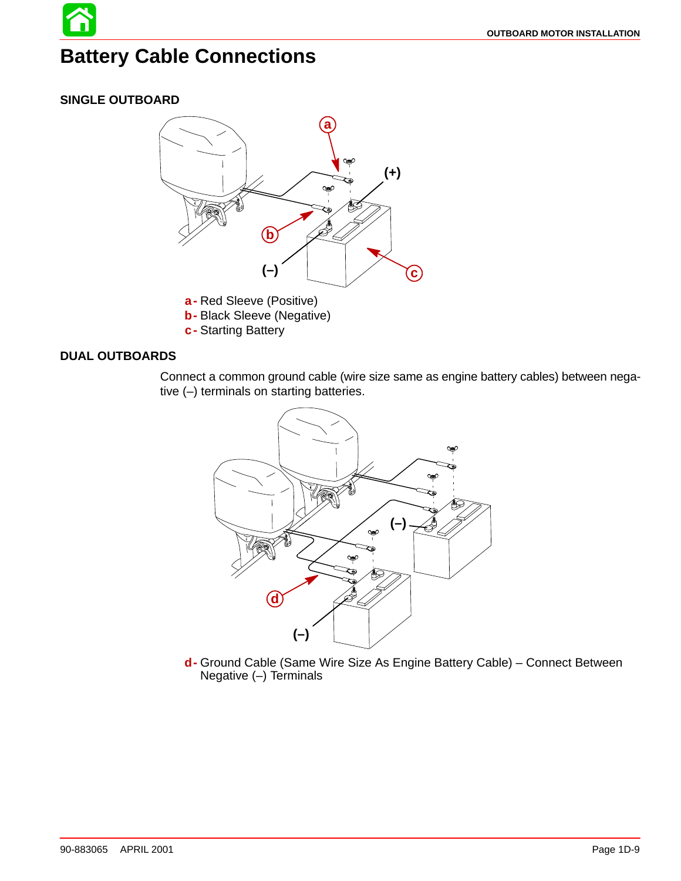## **Battery Cable Connections**

#### **SINGLE OUTBOARD**



#### **DUAL OUTBOARDS**

Connect a common ground cable (wire size same as engine battery cables) between negative (–) terminals on starting batteries.



**d-** Ground Cable (Same Wire Size As Engine Battery Cable) – Connect Between Negative (–) Terminals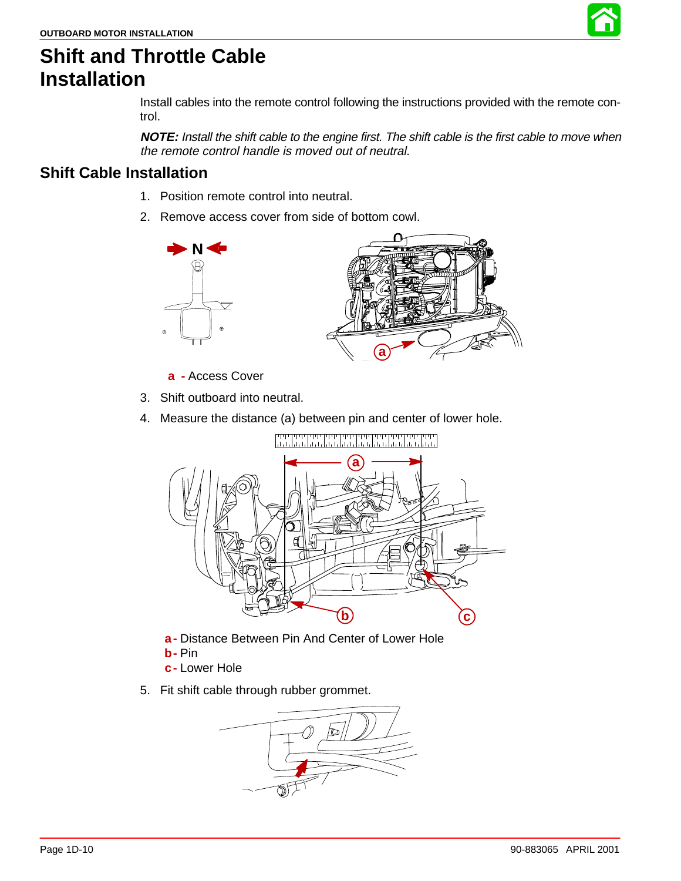

## **Shift and Throttle Cable Installation**

Install cables into the remote control following the instructions provided with the remote control.

**NOTE:** Install the shift cable to the engine first. The shift cable is the first cable to move when the remote control handle is moved out of neutral.

### **Shift Cable Installation**

- 1. Position remote control into neutral.
- 2. Remove access cover from side of bottom cowl.





- **a -** Access Cover
- 3. Shift outboard into neutral.
- 4. Measure the distance (a) between pin and center of lower hole.



- **a-** Distance Between Pin And Center of Lower Hole
- **b-** Pin
- **c-** Lower Hole
- 5. Fit shift cable through rubber grommet.

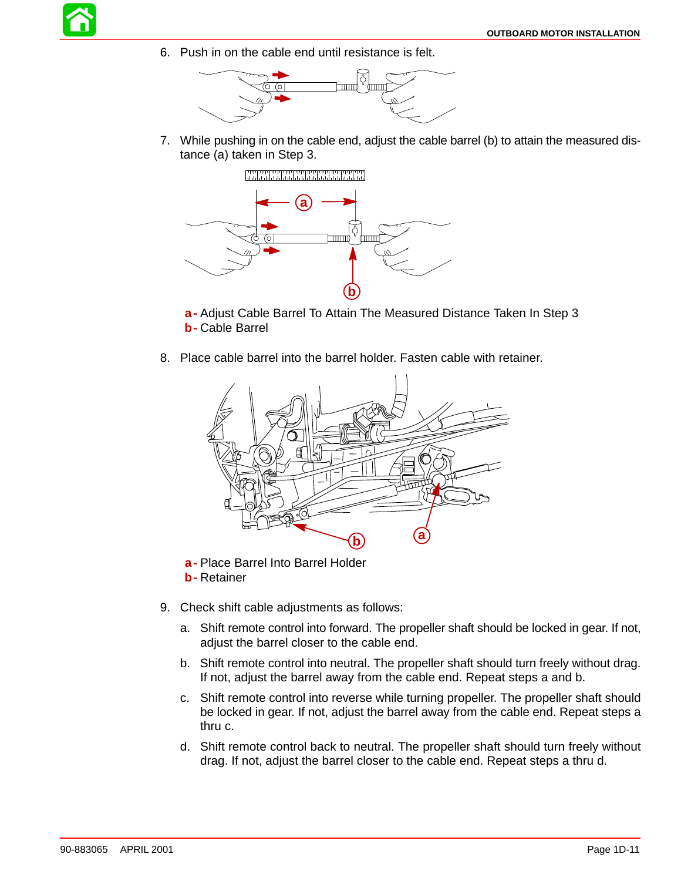

6. Push in on the cable end until resistance is felt.



7. While pushing in on the cable end, adjust the cable barrel (b) to attain the measured distance (a) taken in Step 3.



**a-** Adjust Cable Barrel To Attain The Measured Distance Taken In Step 3 **b-** Cable Barrel

8. Place cable barrel into the barrel holder. Fasten cable with retainer.



- **a-** Place Barrel Into Barrel Holder
- **b-** Retainer
- 9. Check shift cable adjustments as follows:
	- a. Shift remote control into forward. The propeller shaft should be locked in gear. If not, adjust the barrel closer to the cable end.
	- b. Shift remote control into neutral. The propeller shaft should turn freely without drag. If not, adjust the barrel away from the cable end. Repeat steps a and b.
	- c. Shift remote control into reverse while turning propeller. The propeller shaft should be locked in gear. If not, adjust the barrel away from the cable end. Repeat steps a thru c.
	- d. Shift remote control back to neutral. The propeller shaft should turn freely without drag. If not, adjust the barrel closer to the cable end. Repeat steps a thru d.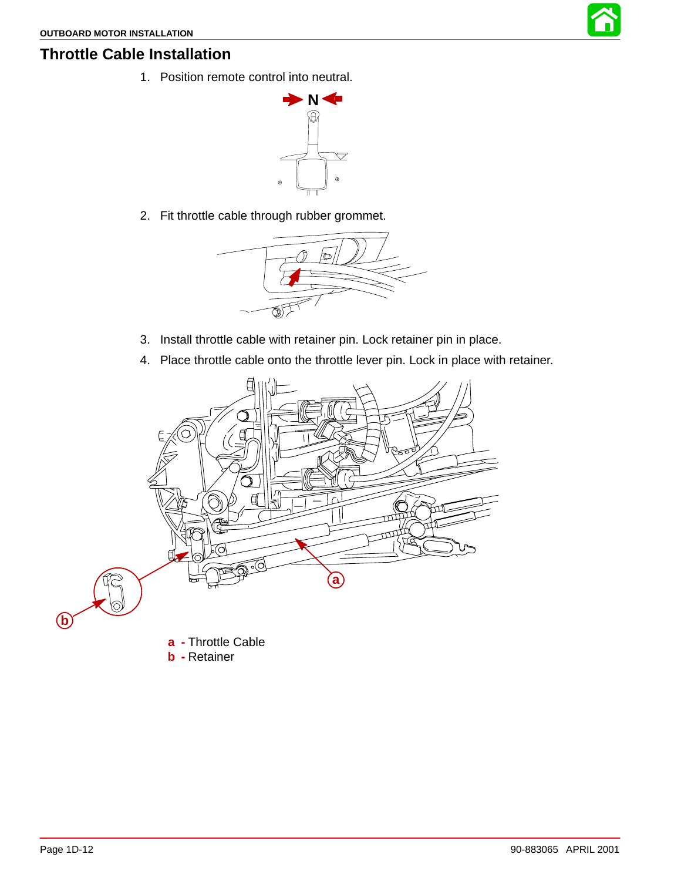

#### **Throttle Cable Installation**

1. Position remote control into neutral.



2. Fit throttle cable through rubber grommet.



- 3. Install throttle cable with retainer pin. Lock retainer pin in place.
- 4. Place throttle cable onto the throttle lever pin. Lock in place with retainer.

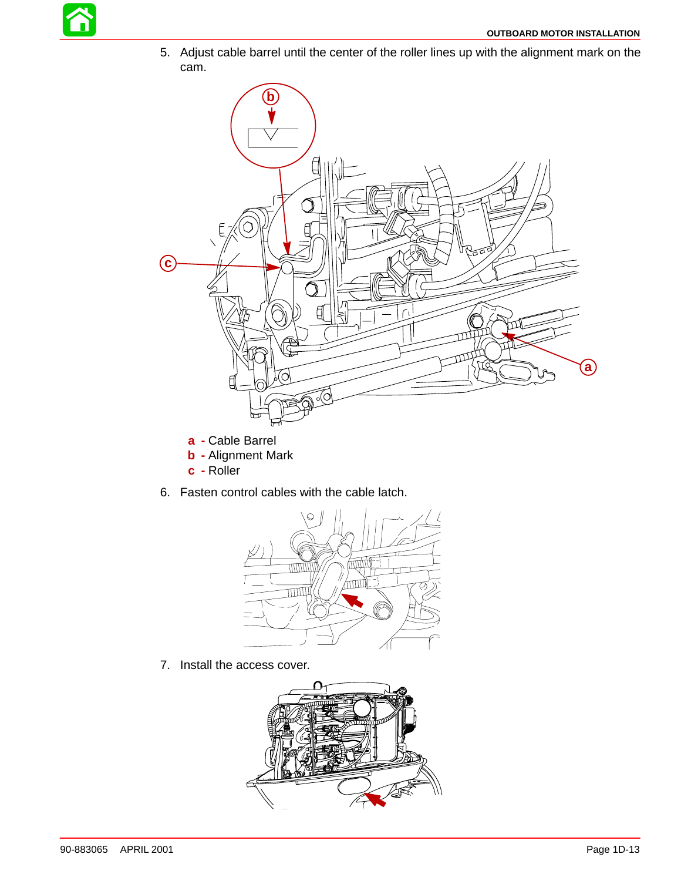

5. Adjust cable barrel until the center of the roller lines up with the alignment mark on the cam.



- **a -** Cable Barrel
- **b -** Alignment Mark
- **c -** Roller
- 6. Fasten control cables with the cable latch.



7. Install the access cover.

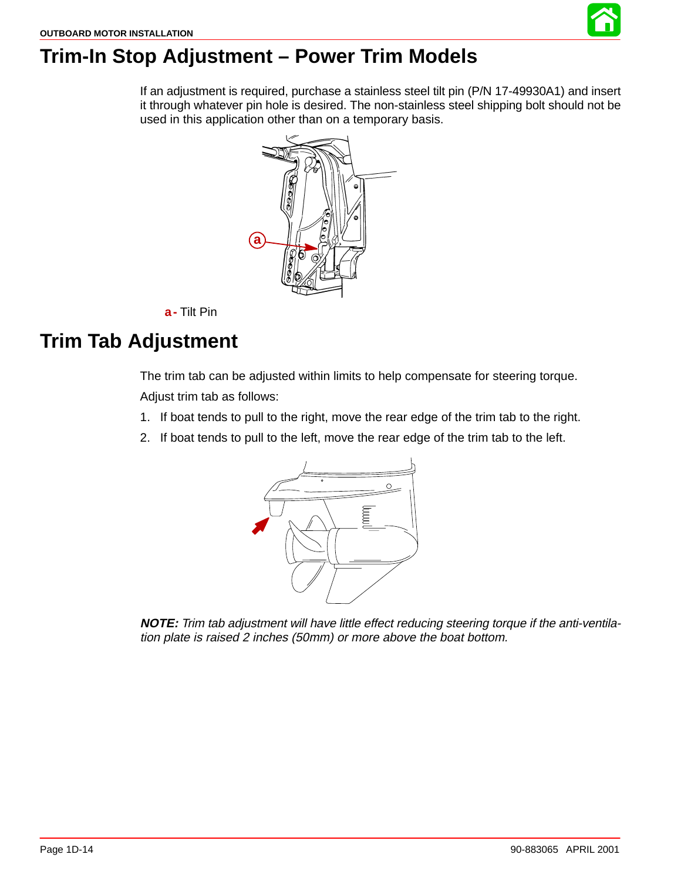

## **Trim-In Stop Adjustment – Power Trim Models**

If an adjustment is required, purchase a stainless steel tilt pin (P/N 17-49930A1) and insert it through whatever pin hole is desired. The non-stainless steel shipping bolt should not be used in this application other than on a temporary basis.



#### **a-** Tilt Pin

## **Trim Tab Adjustment**

The trim tab can be adjusted within limits to help compensate for steering torque. Adjust trim tab as follows:

- 1. If boat tends to pull to the right, move the rear edge of the trim tab to the right.
- 2. If boat tends to pull to the left, move the rear edge of the trim tab to the left.



**NOTE:** Trim tab adjustment will have little effect reducing steering torque if the anti-ventilation plate is raised 2 inches (50mm) or more above the boat bottom.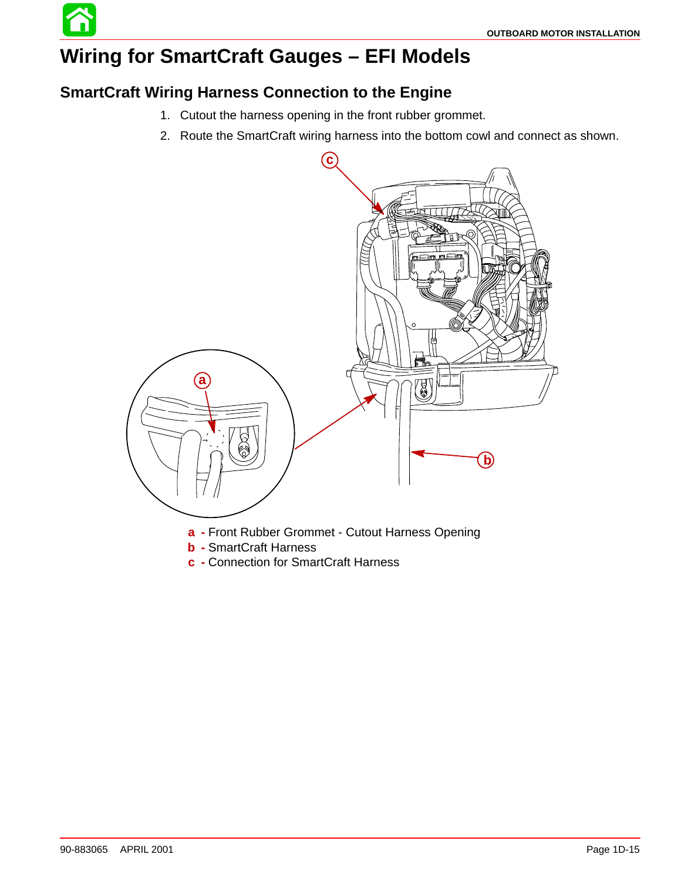# **Wiring for SmartCraft Gauges – EFI Models**

### **SmartCraft Wiring Harness Connection to the Engine**

- 1. Cutout the harness opening in the front rubber grommet.
- 2. Route the SmartCraft wiring harness into the bottom cowl and connect as shown.



- **b -** SmartCraft Harness
- **c -** Connection for SmartCraft Harness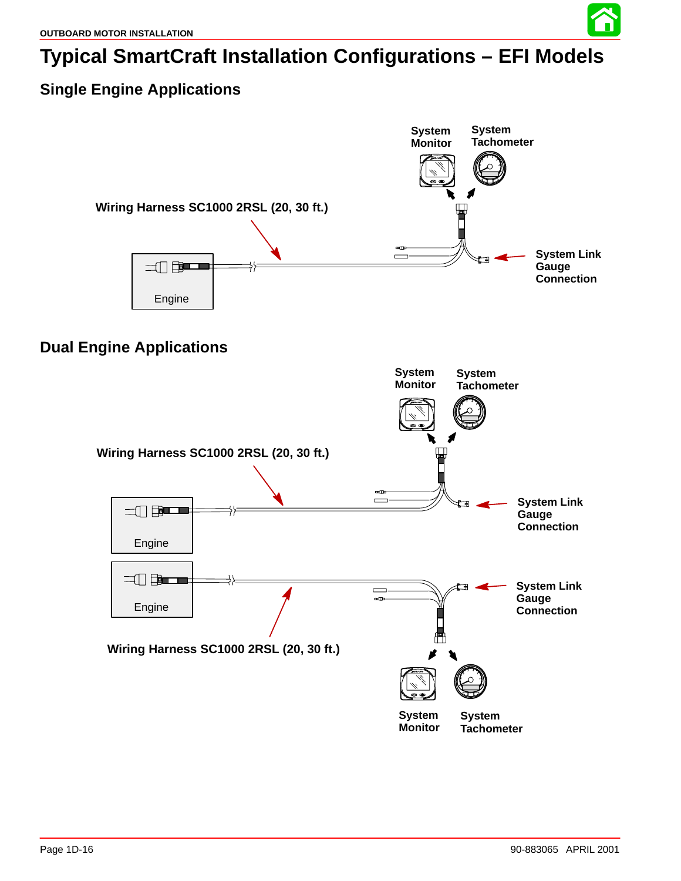

### **Single Engine Applications**

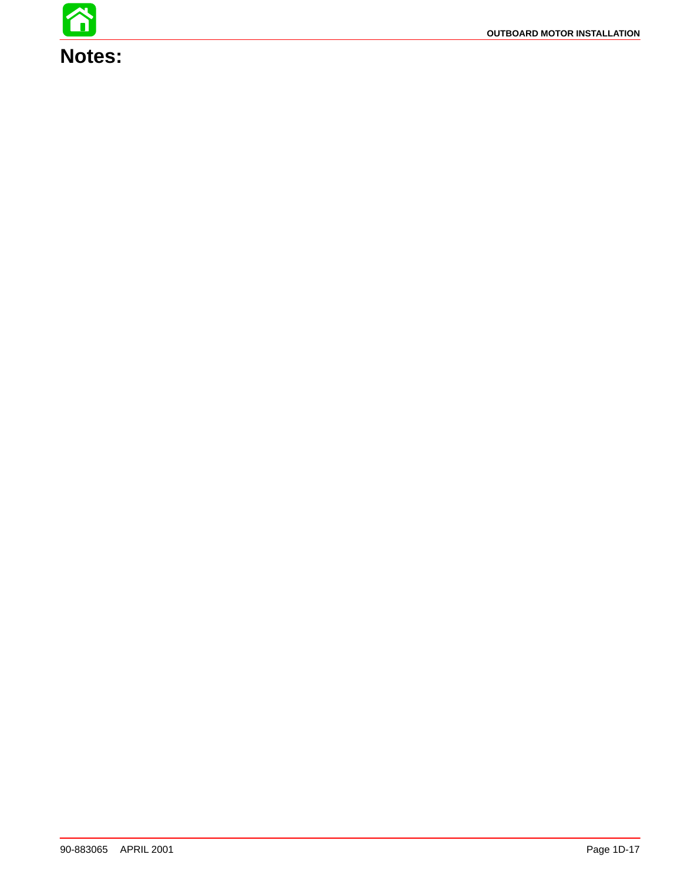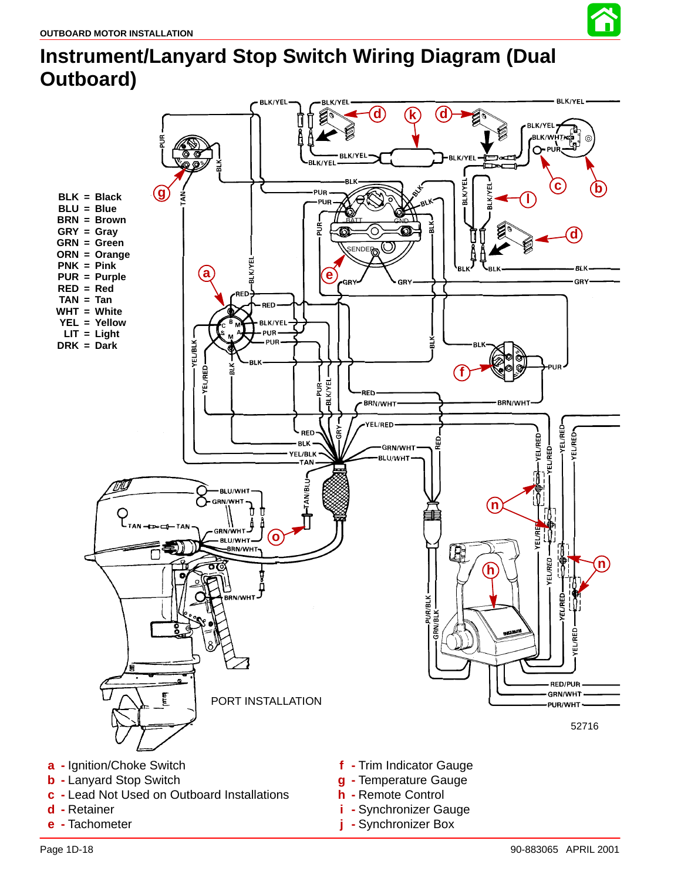

# **Instrument/Lanyard Stop Switch Wiring Diagram (Dual Outboard)**



- **d -** Retainer
- **e -** Tachometer
- 
- **i -** Synchronizer Gauge
- **j -** Synchronizer Box